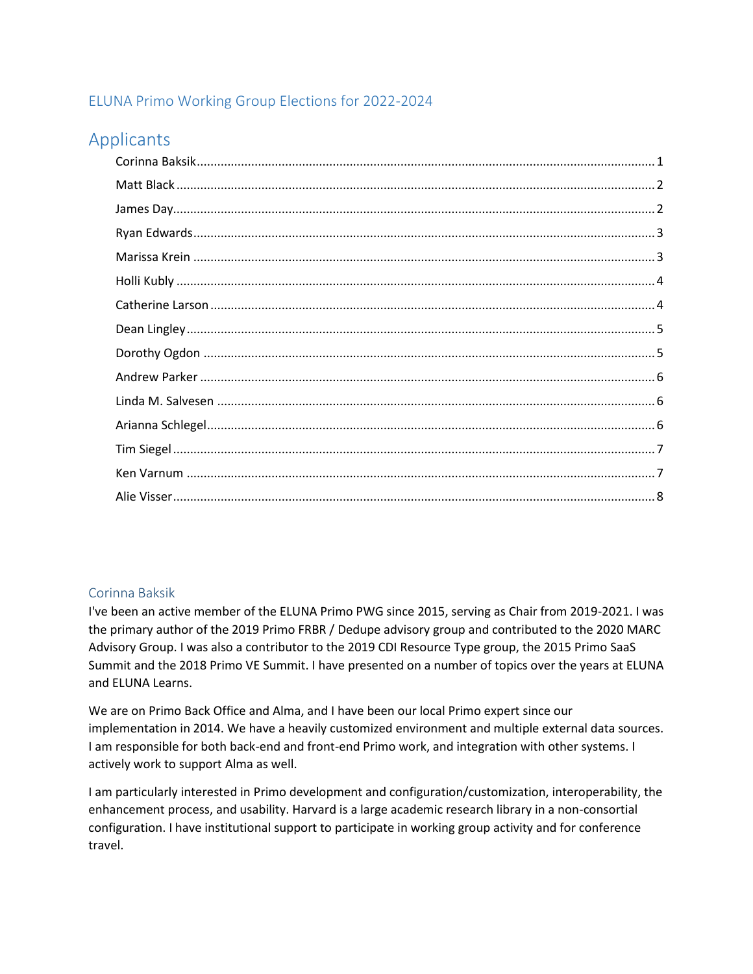## ELUNA Primo Working Group Elections for 2022-2024

# Applicants

## <span id="page-0-0"></span>Corinna Baksik

I've been an active member of the ELUNA Primo PWG since 2015, serving as Chair from 2019-2021. I was the primary author of the 2019 Primo FRBR / Dedupe advisory group and contributed to the 2020 MARC Advisory Group. I was also a contributor to the 2019 CDI Resource Type group, the 2015 Primo SaaS Summit and the 2018 Primo VE Summit. I have presented on a number of topics over the years at ELUNA and ELUNA Learns.

We are on Primo Back Office and Alma, and I have been our local Primo expert since our implementation in 2014. We have a heavily customized environment and multiple external data sources. I am responsible for both back-end and front-end Primo work, and integration with other systems. I actively work to support Alma as well.

I am particularly interested in Primo development and configuration/customization, interoperability, the enhancement process, and usability. Harvard is a large academic research library in a non-consortial configuration. I have institutional support to participate in working group activity and for conference travel.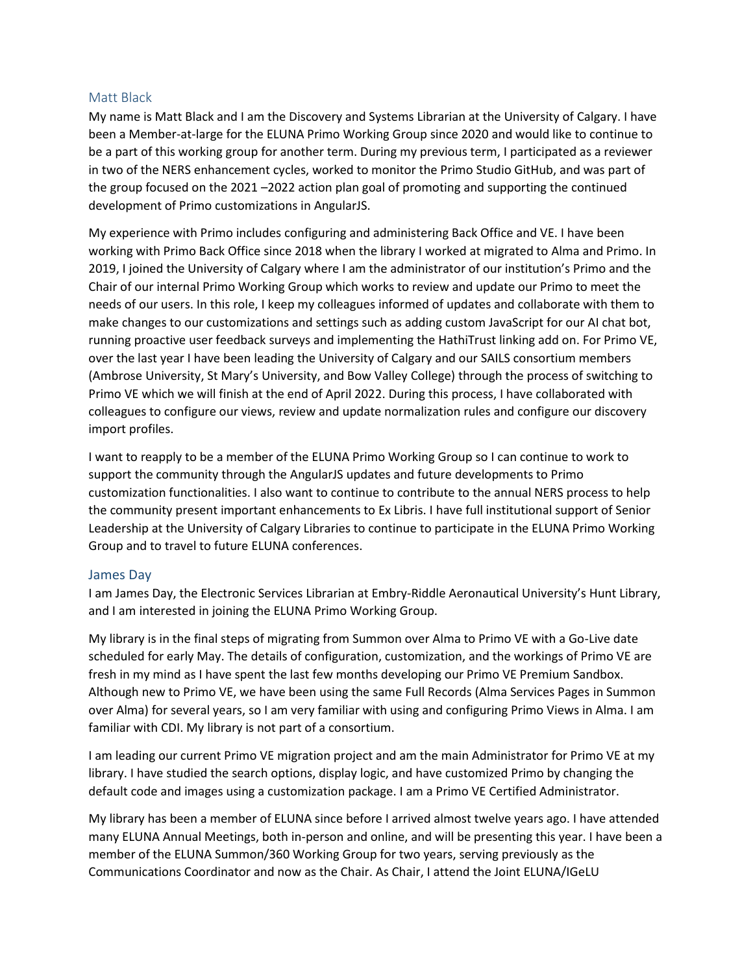#### <span id="page-1-0"></span>Matt Black

My name is Matt Black and I am the Discovery and Systems Librarian at the University of Calgary. I have been a Member-at-large for the ELUNA Primo Working Group since 2020 and would like to continue to be a part of this working group for another term. During my previous term, I participated as a reviewer in two of the NERS enhancement cycles, worked to monitor the Primo Studio GitHub, and was part of the group focused on the 2021 –2022 action plan goal of promoting and supporting the continued development of Primo customizations in AngularJS.

My experience with Primo includes configuring and administering Back Office and VE. I have been working with Primo Back Office since 2018 when the library I worked at migrated to Alma and Primo. In 2019, I joined the University of Calgary where I am the administrator of our institution's Primo and the Chair of our internal Primo Working Group which works to review and update our Primo to meet the needs of our users. In this role, I keep my colleagues informed of updates and collaborate with them to make changes to our customizations and settings such as adding custom JavaScript for our AI chat bot, running proactive user feedback surveys and implementing the HathiTrust linking add on. For Primo VE, over the last year I have been leading the University of Calgary and our SAILS consortium members (Ambrose University, St Mary's University, and Bow Valley College) through the process of switching to Primo VE which we will finish at the end of April 2022. During this process, I have collaborated with colleagues to configure our views, review and update normalization rules and configure our discovery import profiles.

I want to reapply to be a member of the ELUNA Primo Working Group so I can continue to work to support the community through the AngularJS updates and future developments to Primo customization functionalities. I also want to continue to contribute to the annual NERS process to help the community present important enhancements to Ex Libris. I have full institutional support of Senior Leadership at the University of Calgary Libraries to continue to participate in the ELUNA Primo Working Group and to travel to future ELUNA conferences.

#### <span id="page-1-1"></span>James Day

I am James Day, the Electronic Services Librarian at Embry-Riddle Aeronautical University's Hunt Library, and I am interested in joining the ELUNA Primo Working Group.

My library is in the final steps of migrating from Summon over Alma to Primo VE with a Go-Live date scheduled for early May. The details of configuration, customization, and the workings of Primo VE are fresh in my mind as I have spent the last few months developing our Primo VE Premium Sandbox. Although new to Primo VE, we have been using the same Full Records (Alma Services Pages in Summon over Alma) for several years, so I am very familiar with using and configuring Primo Views in Alma. I am familiar with CDI. My library is not part of a consortium.

I am leading our current Primo VE migration project and am the main Administrator for Primo VE at my library. I have studied the search options, display logic, and have customized Primo by changing the default code and images using a customization package. I am a Primo VE Certified Administrator.

My library has been a member of ELUNA since before I arrived almost twelve years ago. I have attended many ELUNA Annual Meetings, both in-person and online, and will be presenting this year. I have been a member of the ELUNA Summon/360 Working Group for two years, serving previously as the Communications Coordinator and now as the Chair. As Chair, I attend the Joint ELUNA/IGeLU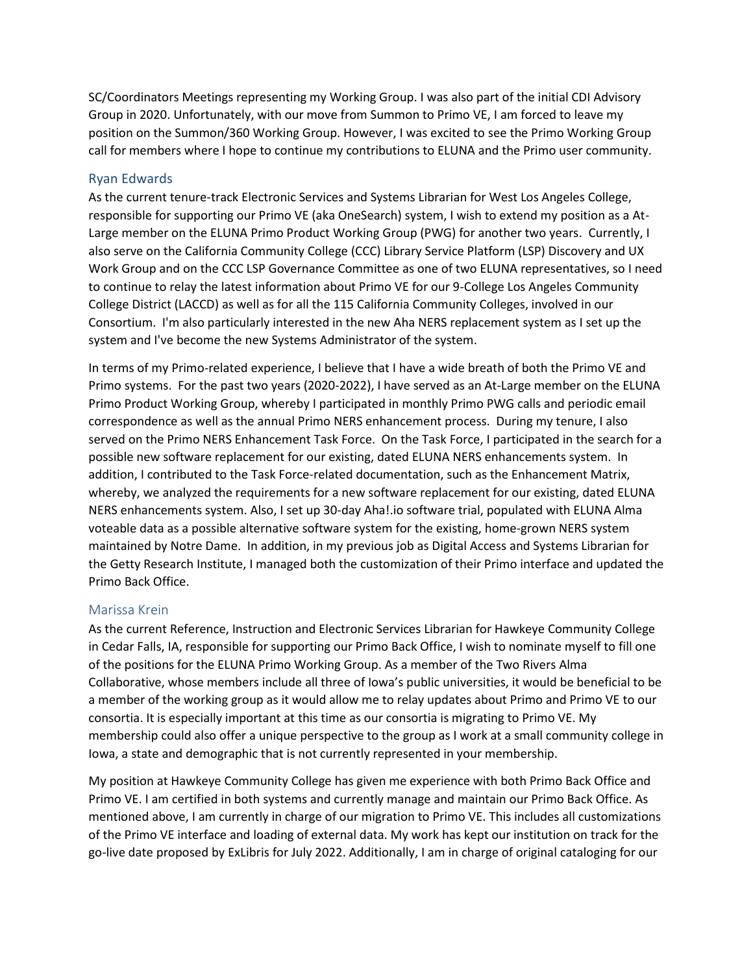SC/Coordinators Meetings representing my Working Group. I was also part of the initial CDI Advisory Group in 2020. Unfortunately, with our move from Summon to Primo VE, I am forced to leave my position on the Summon/360 Working Group. However, I was excited to see the Primo Working Group call for members where I hope to continue my contributions to ELUNA and the Primo user community.

#### <span id="page-2-0"></span>Ryan Edwards

As the current tenure-track Electronic Services and Systems Librarian for West Los Angeles College, responsible for supporting our Primo VE (aka OneSearch) system, I wish to extend my position as a At-Large member on the ELUNA Primo Product Working Group (PWG) for another two years. Currently, I also serve on the California Community College (CCC) Library Service Platform (LSP) Discovery and UX Work Group and on the CCC LSP Governance Committee as one of two ELUNA representatives, so I need to continue to relay the latest information about Primo VE for our 9-College Los Angeles Community College District (LACCD) as well as for all the 115 California Community Colleges, involved in our Consortium. I'm also particularly interested in the new Aha NERS replacement system as I set up the system and I've become the new Systems Administrator of the system.

In terms of my Primo-related experience, I believe that I have a wide breath of both the Primo VE and Primo systems. For the past two years (2020-2022), I have served as an At-Large member on the ELUNA Primo Product Working Group, whereby I participated in monthly Primo PWG calls and periodic email correspondence as well as the annual Primo NERS enhancement process. During my tenure, I also served on the Primo NERS Enhancement Task Force. On the Task Force, I participated in the search for a possible new software replacement for our existing, dated ELUNA NERS enhancements system. In addition, I contributed to the Task Force-related documentation, such as the Enhancement Matrix, whereby, we analyzed the requirements for a new software replacement for our existing, dated ELUNA NERS enhancements system. Also, I set up 30-day Aha!.io software trial, populated with ELUNA Alma voteable data as a possible alternative software system for the existing, home-grown NERS system maintained by Notre Dame. In addition, in my previous job as Digital Access and Systems Librarian for the Getty Research Institute, I managed both the customization of their Primo interface and updated the Primo Back Office.

#### <span id="page-2-1"></span>Marissa Krein

As the current Reference, Instruction and Electronic Services Librarian for Hawkeye Community College in Cedar Falls, IA, responsible for supporting our Primo Back Office, I wish to nominate myself to fill one of the positions for the ELUNA Primo Working Group. As a member of the Two Rivers Alma Collaborative, whose members include all three of Iowa's public universities, it would be beneficial to be a member of the working group as it would allow me to relay updates about Primo and Primo VE to our consortia. It is especially important at this time as our consortia is migrating to Primo VE. My membership could also offer a unique perspective to the group as I work at a small community college in Iowa, a state and demographic that is not currently represented in your membership.

My position at Hawkeye Community College has given me experience with both Primo Back Office and Primo VE. I am certified in both systems and currently manage and maintain our Primo Back Office. As mentioned above, I am currently in charge of our migration to Primo VE. This includes all customizations of the Primo VE interface and loading of external data. My work has kept our institution on track for the go-live date proposed by ExLibris for July 2022. Additionally, I am in charge of original cataloging for our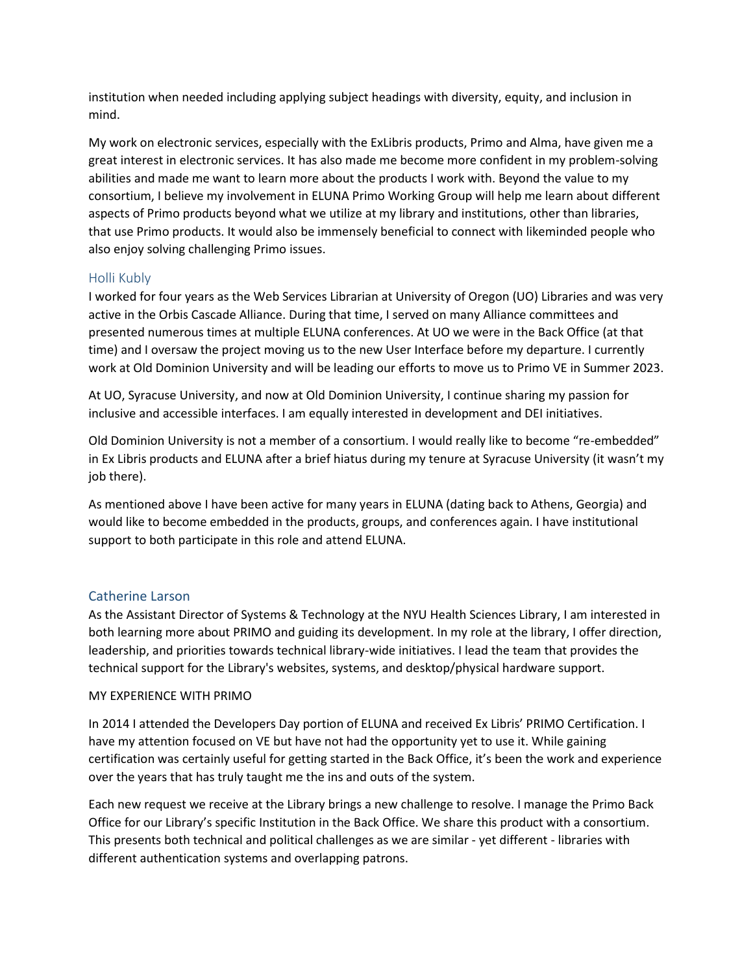institution when needed including applying subject headings with diversity, equity, and inclusion in mind.

My work on electronic services, especially with the ExLibris products, Primo and Alma, have given me a great interest in electronic services. It has also made me become more confident in my problem-solving abilities and made me want to learn more about the products I work with. Beyond the value to my consortium, I believe my involvement in ELUNA Primo Working Group will help me learn about different aspects of Primo products beyond what we utilize at my library and institutions, other than libraries, that use Primo products. It would also be immensely beneficial to connect with likeminded people who also enjoy solving challenging Primo issues.

#### <span id="page-3-0"></span>Holli Kubly

I worked for four years as the Web Services Librarian at University of Oregon (UO) Libraries and was very active in the Orbis Cascade Alliance. During that time, I served on many Alliance committees and presented numerous times at multiple ELUNA conferences. At UO we were in the Back Office (at that time) and I oversaw the project moving us to the new User Interface before my departure. I currently work at Old Dominion University and will be leading our efforts to move us to Primo VE in Summer 2023.

At UO, Syracuse University, and now at Old Dominion University, I continue sharing my passion for inclusive and accessible interfaces. I am equally interested in development and DEI initiatives.

Old Dominion University is not a member of a consortium. I would really like to become "re-embedded" in Ex Libris products and ELUNA after a brief hiatus during my tenure at Syracuse University (it wasn't my job there).

As mentioned above I have been active for many years in ELUNA (dating back to Athens, Georgia) and would like to become embedded in the products, groups, and conferences again. I have institutional support to both participate in this role and attend ELUNA.

## <span id="page-3-1"></span>Catherine Larson

As the Assistant Director of Systems & Technology at the NYU Health Sciences Library, I am interested in both learning more about PRIMO and guiding its development. In my role at the library, I offer direction, leadership, and priorities towards technical library-wide initiatives. I lead the team that provides the technical support for the Library's websites, systems, and desktop/physical hardware support.

#### MY EXPERIENCE WITH PRIMO

In 2014 I attended the Developers Day portion of ELUNA and received Ex Libris' PRIMO Certification. I have my attention focused on VE but have not had the opportunity yet to use it. While gaining certification was certainly useful for getting started in the Back Office, it's been the work and experience over the years that has truly taught me the ins and outs of the system.

Each new request we receive at the Library brings a new challenge to resolve. I manage the Primo Back Office for our Library's specific Institution in the Back Office. We share this product with a consortium. This presents both technical and political challenges as we are similar - yet different - libraries with different authentication systems and overlapping patrons.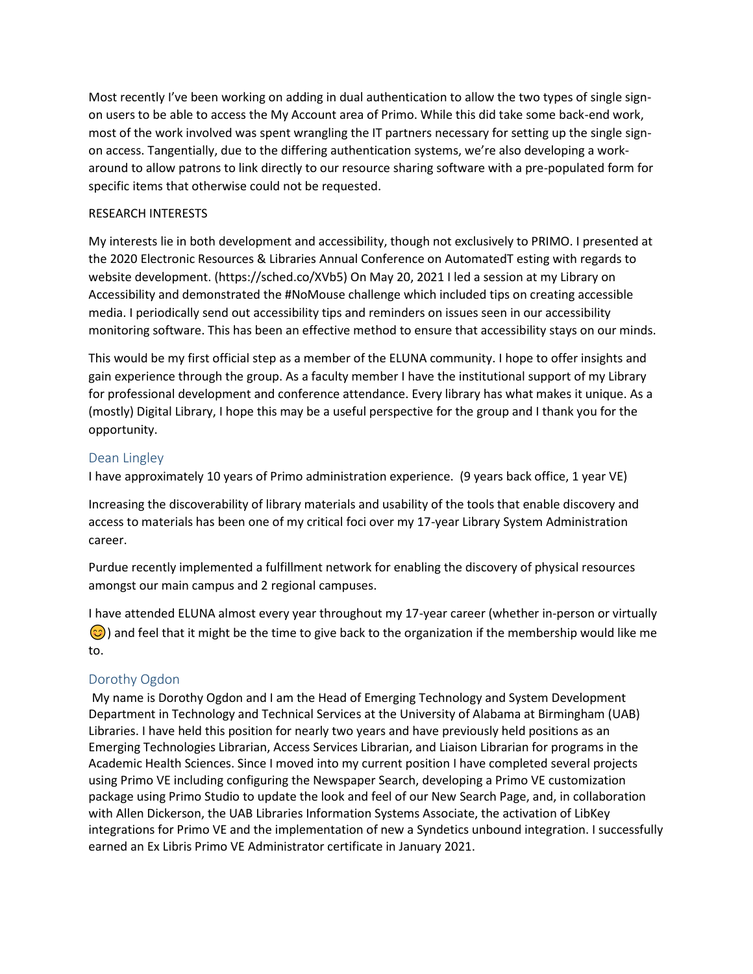Most recently I've been working on adding in dual authentication to allow the two types of single signon users to be able to access the My Account area of Primo. While this did take some back-end work, most of the work involved was spent wrangling the IT partners necessary for setting up the single signon access. Tangentially, due to the differing authentication systems, we're also developing a workaround to allow patrons to link directly to our resource sharing software with a pre-populated form for specific items that otherwise could not be requested.

#### RESEARCH INTERESTS

My interests lie in both development and accessibility, though not exclusively to PRIMO. I presented at the 2020 Electronic Resources & Libraries Annual Conference on AutomatedT esting with regards to website development. (https://sched.co/XVb5) On May 20, 2021 I led a session at my Library on Accessibility and demonstrated the #NoMouse challenge which included tips on creating accessible media. I periodically send out accessibility tips and reminders on issues seen in our accessibility monitoring software. This has been an effective method to ensure that accessibility stays on our minds.

This would be my first official step as a member of the ELUNA community. I hope to offer insights and gain experience through the group. As a faculty member I have the institutional support of my Library for professional development and conference attendance. Every library has what makes it unique. As a (mostly) Digital Library, I hope this may be a useful perspective for the group and I thank you for the opportunity.

## <span id="page-4-0"></span>Dean Lingley

I have approximately 10 years of Primo administration experience. (9 years back office, 1 year VE)

Increasing the discoverability of library materials and usability of the tools that enable discovery and access to materials has been one of my critical foci over my 17-year Library System Administration career.

Purdue recently implemented a fulfillment network for enabling the discovery of physical resources amongst our main campus and 2 regional campuses.

I have attended ELUNA almost every year throughout my 17-year career (whether in-person or virtually  $\odot$ ) and feel that it might be the time to give back to the organization if the membership would like me to.

## <span id="page-4-1"></span>Dorothy Ogdon

My name is Dorothy Ogdon and I am the Head of Emerging Technology and System Development Department in Technology and Technical Services at the University of Alabama at Birmingham (UAB) Libraries. I have held this position for nearly two years and have previously held positions as an Emerging Technologies Librarian, Access Services Librarian, and Liaison Librarian for programs in the Academic Health Sciences. Since I moved into my current position I have completed several projects using Primo VE including configuring the Newspaper Search, developing a Primo VE customization package using Primo Studio to update the look and feel of our New Search Page, and, in collaboration with Allen Dickerson, the UAB Libraries Information Systems Associate, the activation of LibKey integrations for Primo VE and the implementation of new a Syndetics unbound integration. I successfully earned an Ex Libris Primo VE Administrator certificate in January 2021.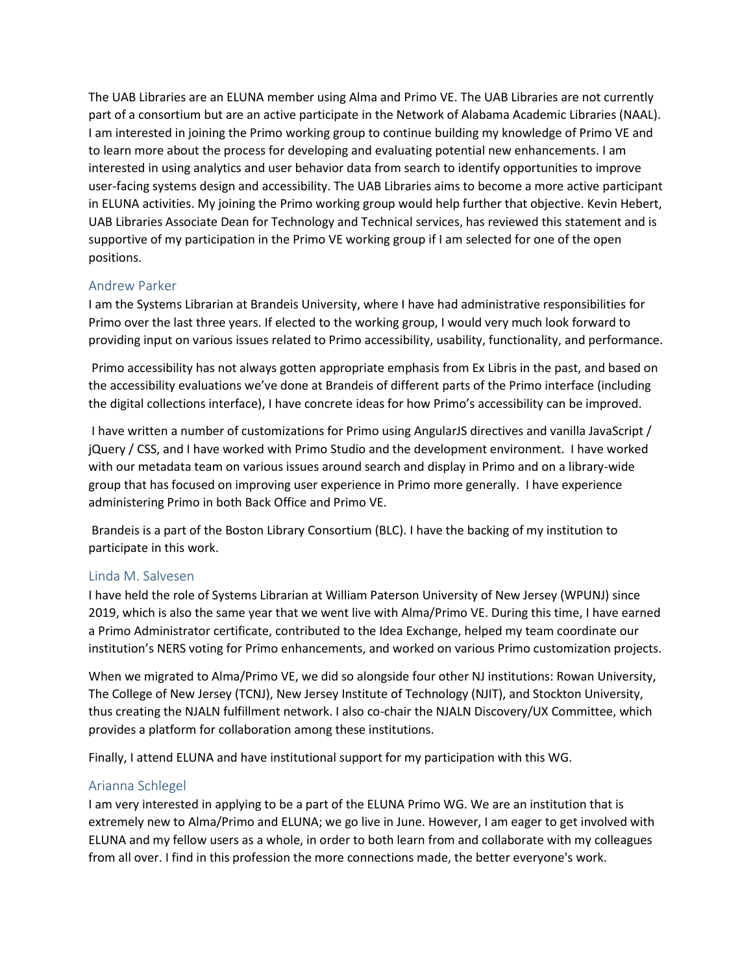The UAB Libraries are an ELUNA member using Alma and Primo VE. The UAB Libraries are not currently part of a consortium but are an active participate in the Network of Alabama Academic Libraries (NAAL). I am interested in joining the Primo working group to continue building my knowledge of Primo VE and to learn more about the process for developing and evaluating potential new enhancements. I am interested in using analytics and user behavior data from search to identify opportunities to improve user-facing systems design and accessibility. The UAB Libraries aims to become a more active participant in ELUNA activities. My joining the Primo working group would help further that objective. Kevin Hebert, UAB Libraries Associate Dean for Technology and Technical services, has reviewed this statement and is supportive of my participation in the Primo VE working group if I am selected for one of the open positions.

#### <span id="page-5-0"></span>Andrew Parker

I am the Systems Librarian at Brandeis University, where I have had administrative responsibilities for Primo over the last three years. If elected to the working group, I would very much look forward to providing input on various issues related to Primo accessibility, usability, functionality, and performance.

Primo accessibility has not always gotten appropriate emphasis from Ex Libris in the past, and based on the accessibility evaluations we've done at Brandeis of different parts of the Primo interface (including the digital collections interface), I have concrete ideas for how Primo's accessibility can be improved.

I have written a number of customizations for Primo using AngularJS directives and vanilla JavaScript / jQuery / CSS, and I have worked with Primo Studio and the development environment. I have worked with our metadata team on various issues around search and display in Primo and on a library-wide group that has focused on improving user experience in Primo more generally. I have experience administering Primo in both Back Office and Primo VE.

Brandeis is a part of the Boston Library Consortium (BLC). I have the backing of my institution to participate in this work.

## <span id="page-5-1"></span>Linda M. Salvesen

I have held the role of Systems Librarian at William Paterson University of New Jersey (WPUNJ) since 2019, which is also the same year that we went live with Alma/Primo VE. During this time, I have earned a Primo Administrator certificate, contributed to the Idea Exchange, helped my team coordinate our institution's NERS voting for Primo enhancements, and worked on various Primo customization projects.

When we migrated to Alma/Primo VE, we did so alongside four other NJ institutions: Rowan University, The College of New Jersey (TCNJ), New Jersey Institute of Technology (NJIT), and Stockton University, thus creating the NJALN fulfillment network. I also co-chair the NJALN Discovery/UX Committee, which provides a platform for collaboration among these institutions.

Finally, I attend ELUNA and have institutional support for my participation with this WG.

## <span id="page-5-2"></span>Arianna Schlegel

I am very interested in applying to be a part of the ELUNA Primo WG. We are an institution that is extremely new to Alma/Primo and ELUNA; we go live in June. However, I am eager to get involved with ELUNA and my fellow users as a whole, in order to both learn from and collaborate with my colleagues from all over. I find in this profession the more connections made, the better everyone's work.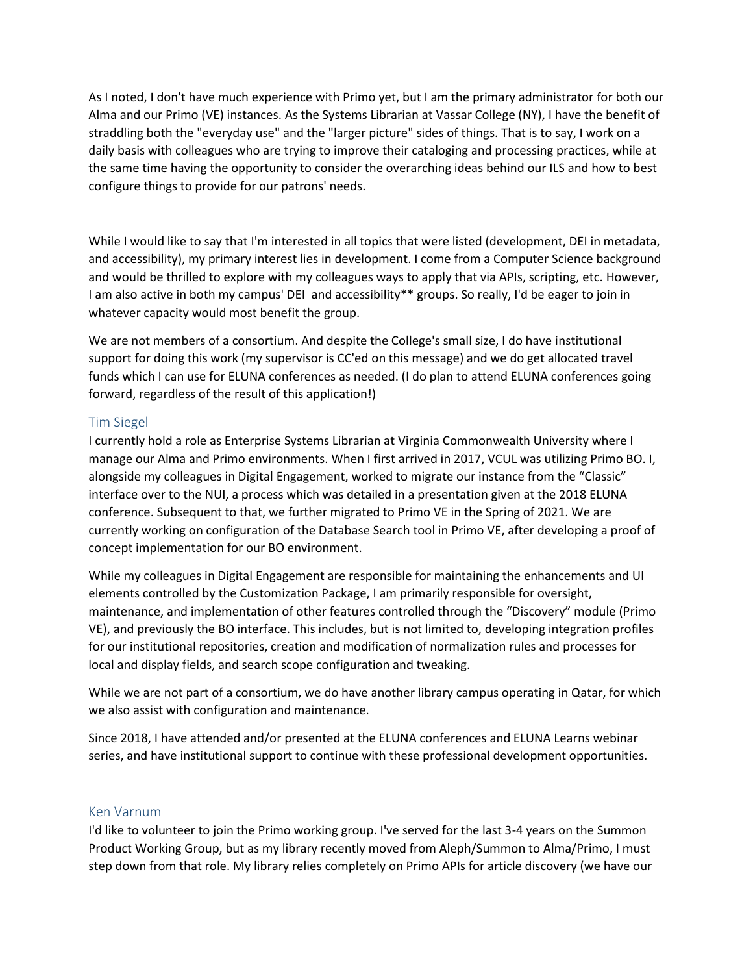As I noted, I don't have much experience with Primo yet, but I am the primary administrator for both our Alma and our Primo (VE) instances. As the Systems Librarian at Vassar College (NY), I have the benefit of straddling both the "everyday use" and the "larger picture" sides of things. That is to say, I work on a daily basis with colleagues who are trying to improve their cataloging and processing practices, while at the same time having the opportunity to consider the overarching ideas behind our ILS and how to best configure things to provide for our patrons' needs.

While I would like to say that I'm interested in all topics that were listed (development, DEI in metadata, and accessibility), my primary interest lies in development. I come from a Computer Science background and would be thrilled to explore with my colleagues ways to apply that via APIs, scripting, etc. However, I am also active in both my campus' DEI and accessibility\*\* groups. So really, I'd be eager to join in whatever capacity would most benefit the group.

We are not members of a consortium. And despite the College's small size, I do have institutional support for doing this work (my supervisor is CC'ed on this message) and we do get allocated travel funds which I can use for ELUNA conferences as needed. (I do plan to attend ELUNA conferences going forward, regardless of the result of this application!)

## <span id="page-6-0"></span>Tim Siegel

I currently hold a role as Enterprise Systems Librarian at Virginia Commonwealth University where I manage our Alma and Primo environments. When I first arrived in 2017, VCUL was utilizing Primo BO. I, alongside my colleagues in Digital Engagement, worked to migrate our instance from the "Classic" interface over to the NUI, a process which was detailed in a presentation given at the 2018 ELUNA conference. Subsequent to that, we further migrated to Primo VE in the Spring of 2021. We are currently working on configuration of the Database Search tool in Primo VE, after developing a proof of concept implementation for our BO environment.

While my colleagues in Digital Engagement are responsible for maintaining the enhancements and UI elements controlled by the Customization Package, I am primarily responsible for oversight, maintenance, and implementation of other features controlled through the "Discovery" module (Primo VE), and previously the BO interface. This includes, but is not limited to, developing integration profiles for our institutional repositories, creation and modification of normalization rules and processes for local and display fields, and search scope configuration and tweaking.

While we are not part of a consortium, we do have another library campus operating in Qatar, for which we also assist with configuration and maintenance.

Since 2018, I have attended and/or presented at the ELUNA conferences and ELUNA Learns webinar series, and have institutional support to continue with these professional development opportunities.

#### <span id="page-6-1"></span>Ken Varnum

I'd like to volunteer to join the Primo working group. I've served for the last 3-4 years on the Summon Product Working Group, but as my library recently moved from Aleph/Summon to Alma/Primo, I must step down from that role. My library relies completely on Primo APIs for article discovery (we have our